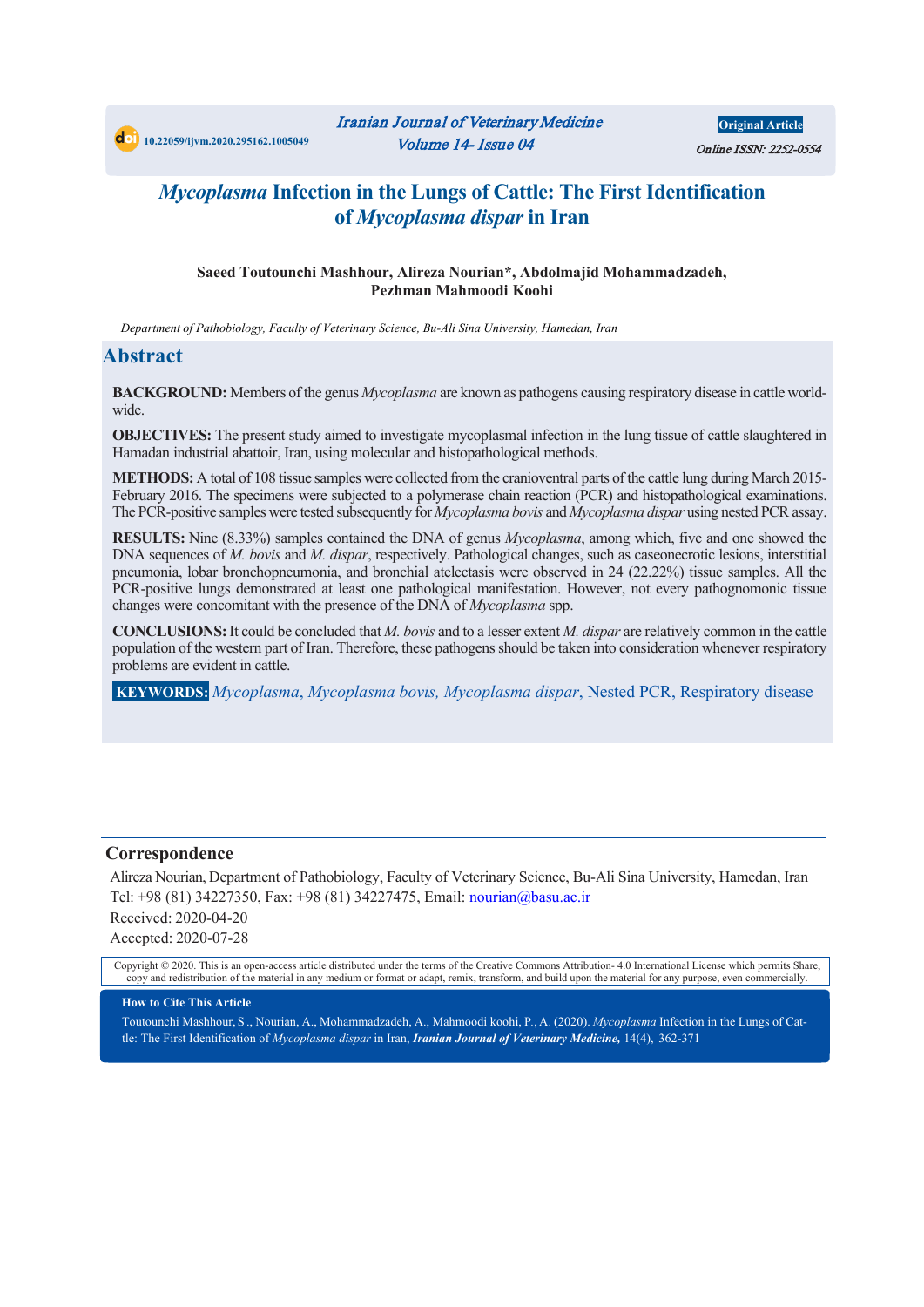

**Original Article** Online ISSN: 2252-0554

## *Mycoplasma* **Infection in the Lungs of Cattle: The First Identification of** *Mycoplasma dispar* **in Iran**

#### **Saeed Toutounchi Mashhour, Alireza Nourian\*, Abdolmajid Mohammadzadeh, Pezhman Mahmoodi Koohi**

*Department of Pathobiology, Faculty of Veterinary Science, Bu-Ali Sina University, Hamedan, Iran*

## **Abstract**

**BACKGROUND:** Members of the genus *Mycoplasma* are known as pathogens causing respiratory disease in cattle worldwide.

**OBJECTIVES:** The present study aimed to investigate mycoplasmal infection in the lung tissue of cattle slaughtered in Hamadan industrial abattoir, Iran, using molecular and histopathological methods.

**METHODS:** A total of 108 tissue samples were collected from the cranioventral parts of the cattle lung during March 2015- February 2016. The specimens were subjected to a polymerase chain reaction (PCR) and histopathological examinations. The PCR-positive samples were tested subsequently for *Mycoplasma bovis* and *Mycoplasma dispar* using nested PCR assay.

**RESULTS:** Nine (8.33%) samples contained the DNA of genus *Mycoplasma*, among which, five and one showed the DNA sequences of *M. bovis* and *M. dispar*, respectively. Pathological changes, such as caseonecrotic lesions, interstitial pneumonia, lobar bronchopneumonia, and bronchial atelectasis were observed in 24 (22.22%) tissue samples. All the PCR-positive lungs demonstrated at least one pathological manifestation. However, not every pathognomonic tissue changes were concomitant with the presence of the DNA of *Mycoplasma* spp.

**CONCLUSIONS:**It could be concluded that *M. bovis* and to a lesser extent *M. dispar* are relatively common in the cattle population of the western part of Iran. Therefore, these pathogens should be taken into consideration whenever respiratory problems are evident in cattle.

**KEYWORDS:** *Mycoplasma*, *Mycoplasma bovis, Mycoplasma dispar*, Nested PCR, Respiratory disease

#### **Correspondence**

Alireza Nourian, Department of Pathobiology, Faculty of Veterinary Science, Bu-Ali Sina University, Hamedan, Iran Tel: +98 (81) 34227350, Fax: +98 (81) 34227475, Email: nourian@basu.ac.ir Received: 2020-04-20 Accepted: 2020-07-28

Copyright © 2020. This is an open-access article distributed under the terms of the Creative Commons Attribution- 4.0 International License which permits Share, copy and redistribution of the material in any medium or format or adapt, remix, transform, and build upon the material for any purpose, even commercially.

#### **How to Cite This Article**

Toutounchi Mashhour, S ., Nourian, A., Mohammadzadeh, A., Mahmoodi koohi, P*.*, A. (2020). *Mycoplasma* Infection in the Lungs of Cattle: The First Identification of *Mycoplasma dispar* in Iran, *Iranian Journal of Veterinary Medicine,* 14(4), 362-371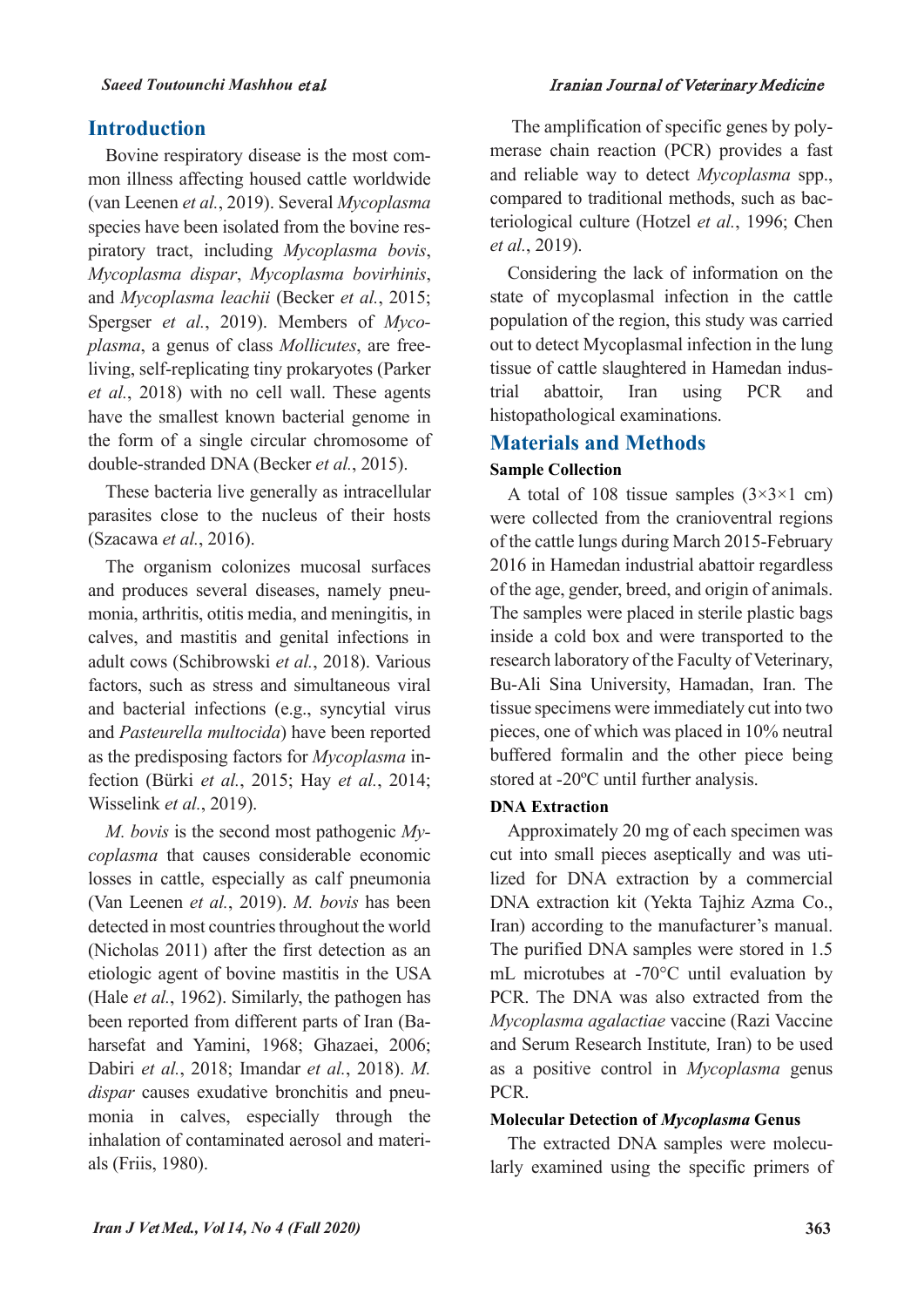#### *Saeed Toutounchi Mashhou* et al*.* Iranian Journal of Veterinary Medicine

## **Introduction**

Bovine respiratory disease is the most common illness affecting housed cattle worldwide (van Leenen *et al.*, 2019). Several *Mycoplasma* species have been isolated from the bovine respiratory tract, including *Mycoplasma bovis*, *Mycoplasma dispar*, *Mycoplasma bovirhinis*, and *Mycoplasma leachii* (Becker *et al.*, 2015; Spergser *et al.*, 2019). Members of *Mycoplasma*, a genus of class *Mollicutes*, are freeliving, self-replicating tiny prokaryotes (Parker *et al.*, 2018) with no cell wall. These agents have the smallest known bacterial genome in the form of a single circular chromosome of double-stranded DNA (Becker *et al.*, 2015).

These bacteria live generally as intracellular parasites close to the nucleus of their hosts (Szacawa *et al.*, 2016).

The organism colonizes mucosal surfaces and produces several diseases, namely pneumonia, arthritis, otitis media, and meningitis, in calves, and mastitis and genital infections in adult cows (Schibrowski *et al.*, 2018). Various factors, such as stress and simultaneous viral and bacterial infections (e.g., syncytial virus and *Pasteurella multocida*) have been reported as the predisposing factors for *Mycoplasma* infection (Bürki *et al.*, 2015; Hay *et al.*, 2014; Wisselink *et al.*, 2019).

*M. bovis* is the second most pathogenic *Mycoplasma* that causes considerable economic losses in cattle, especially as calf pneumonia (Van Leenen *et al.*, 2019). *M. bovis* has been detected in most countries throughout the world (Nicholas 2011) after the first detection as an etiologic agent of bovine mastitis in the USA (Hale *et al.*, 1962). Similarly, the pathogen has been reported from different parts of Iran (Baharsefat and Yamini, 1968; Ghazaei, 2006; Dabiri *et al.*, 2018; Imandar *et al.*, 2018). *M. dispar* causes exudative bronchitis and pneumonia in calves, especially through the inhalation of contaminated aerosol and materials (Friis, 1980).

The amplification of specific genes by polymerase chain reaction (PCR) provides a fast and reliable way to detect *Mycoplasma* spp., compared to traditional methods, such as bacteriological culture (Hotzel *et al.*, 1996; Chen *et al.*, 2019).

Considering the lack of information on the state of mycoplasmal infection in the cattle population of the region, this study was carried out to detect Mycoplasmal infection in the lung tissue of cattle slaughtered in Hamedan industrial abattoir, Iran using PCR and histopathological examinations.

## **Materials and Methods**

## **Sample Collection**

A total of 108 tissue samples  $(3\times3\times1$  cm) were collected from the cranioventral regions of the cattle lungs during March 2015-February 2016 in Hamedan industrial abattoir regardless of the age, gender, breed, and origin of animals. The samples were placed in sterile plastic bags inside a cold box and were transported to the research laboratory of the Faculty of Veterinary, Bu-Ali Sina University, Hamadan, Iran. The tissue specimens were immediately cut into two pieces, one of which was placed in 10% neutral buffered formalin and the other piece being stored at -20ºC until further analysis.

## **DNA Extraction**

Approximately 20 mg of each specimen was cut into small pieces aseptically and was utilized for DNA extraction by a commercial DNA extraction kit (Yekta Tajhiz Azma Co., Iran) according to the manufacturer's manual. The purified DNA samples were stored in 1.5 mL microtubes at -70°C until evaluation by PCR. The DNA was also extracted from the *Mycoplasma agalactiae* vaccine (Razi Vaccine and Serum Research Institute*,* Iran) to be used as a positive control in *Mycoplasma* genus PCR.

## **Molecular Detection of** *Mycoplasma* **Genus**

The extracted DNA samples were molecularly examined using the specific primers of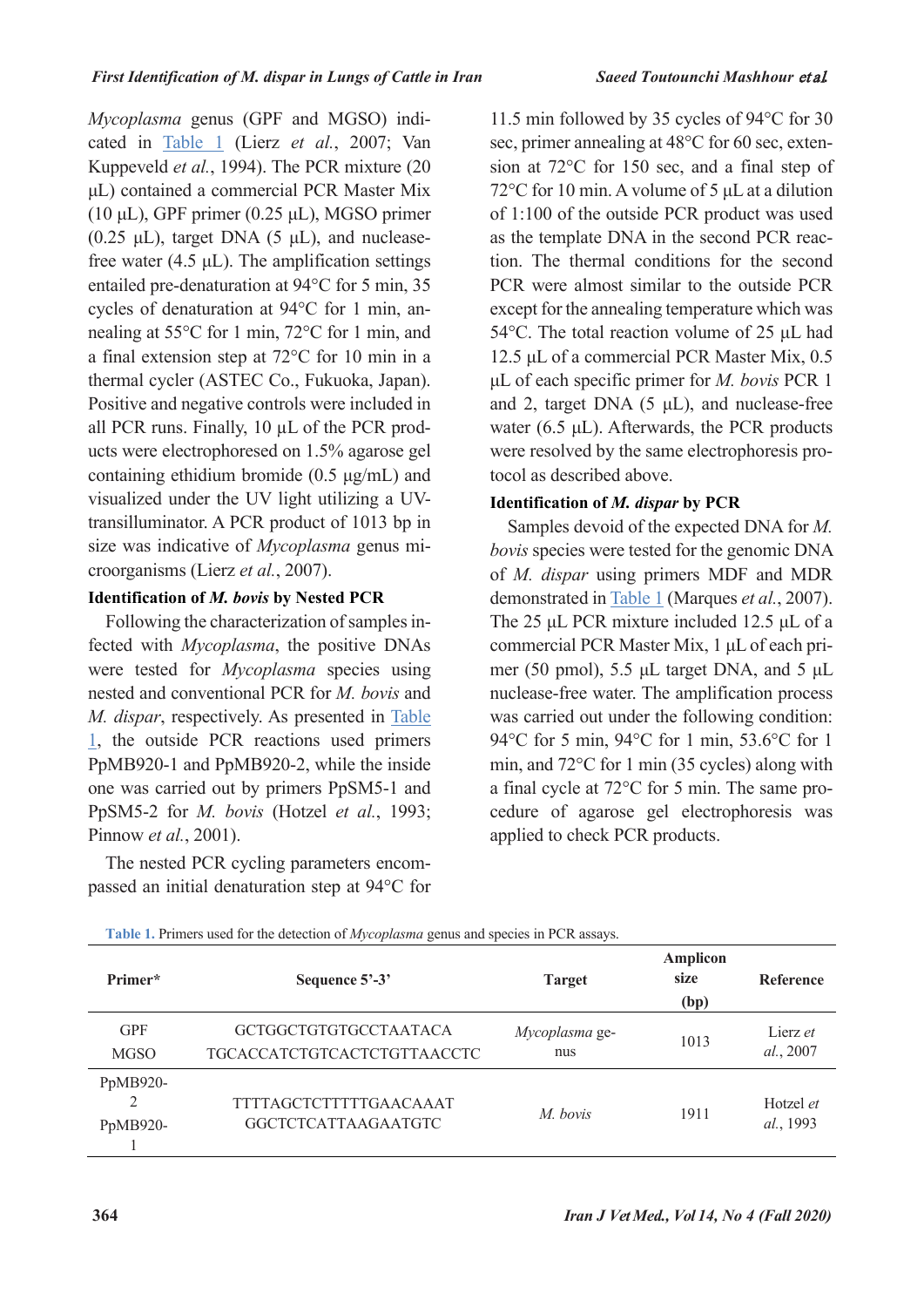*Mycoplasma* genus (GPF and MGSO) indicated in [Table 1](#page-2-0) (Lierz *et al.*, 2007; Van Kuppeveld *et al.*, 1994). The PCR mixture (20 μL) contained a commercial PCR Master Mix (10 μL), GPF primer (0.25 μL), MGSO primer  $(0.25 \mu L)$ , target DNA  $(5 \mu L)$ , and nucleasefree water  $(4.5 \mu L)$ . The amplification settings entailed pre-denaturation at 94°C for 5 min, 35 cycles of denaturation at 94°C for 1 min, annealing at 55°C for 1 min, 72°C for 1 min, and a final extension step at 72°C for 10 min in a thermal cycler (ASTEC Co., Fukuoka, Japan). Positive and negative controls were included in all PCR runs. Finally, 10 µL of the PCR products were electrophoresed on 1.5% agarose gel containing ethidium bromide (0.5  $\mu$ g/mL) and visualized under the UV light utilizing a UVtransilluminator. A PCR product of 1013 bp in size was indicative of *Mycoplasma* genus microorganisms (Lierz *et al.*, 2007).

## **Identification of** *M. bovis* **by Nested PCR**

Following the characterization of samples infected with *Mycoplasma*, the positive DNAs were tested for *Mycoplasma* species using nested and conventional PCR for *M. bovis* and *M. dispar*, respectively. As presented in [Table](#page-2-0)  [1,](#page-2-0) the outside PCR reactions used primers PpMB920-1 and PpMB920-2, while the inside one was carried out by primers PpSM5-1 and PpSM5-2 for *M. bovis* (Hotzel *et al.*, 1993; Pinnow *et al.*, 2001).

The nested PCR cycling parameters encompassed an initial denaturation step at 94°C for 11.5 min followed by 35 cycles of 94°C for 30 sec, primer annealing at 48°C for 60 sec, extension at 72°C for 150 sec, and a final step of 72°C for 10 min. A volume of 5 μL at a dilution of 1:100 of the outside PCR product was used as the template DNA in the second PCR reaction. The thermal conditions for the second PCR were almost similar to the outside PCR except for the annealing temperature which was 54°C. The total reaction volume of 25 μL had 12.5 μL of a commercial PCR Master Mix, 0.5 μL of each specific primer for *M. bovis* PCR 1 and 2, target DNA (5 μL), and nuclease-free water (6.5  $\mu$ L). Afterwards, the PCR products were resolved by the same electrophoresis protocol as described above.

## **Identification of** *M. dispar* **by PCR**

Samples devoid of the expected DNA for *M. bovis* species were tested for the genomic DNA of *M. dispar* using primers MDF and MDR demonstrated in [Table 1](#page-2-0) (Marques *et al.*, 2007). The 25 μL PCR mixture included 12.5 μL of a commercial PCR Master Mix, 1 μL of each primer (50 pmol), 5.5 μL target DNA, and 5 μL nuclease-free water. The amplification process was carried out under the following condition: 94°C for 5 min, 94°C for 1 min, 53.6°C for 1 min, and 72°C for 1 min (35 cycles) along with a final cycle at 72°C for 5 min. The same procedure of agarose gel electrophoresis was applied to check PCR products.

| Primer*                   | Sequence 5'-3'                                              | <b>Target</b>         | <b>Amplicon</b><br>size<br>(bp) | <b>Reference</b>       |
|---------------------------|-------------------------------------------------------------|-----------------------|---------------------------------|------------------------|
| <b>GPF</b><br><b>MGSO</b> | GCTGGCTGTGTGCCTAATACA<br><b>TGCACCATCTGTCACTCTGTTAACCTC</b> | Mycoplasma ge-<br>nus | 1013                            | Lierz et<br>al., 2007  |
| PpMB920-<br>PpMB920-      | TTTTAGCTCTTTTTGAACAAAT<br><b>GGCTCTCATTAAGAATGTC</b>        | M. bovis              | 1911                            | Hotzel et<br>al., 1993 |

<span id="page-2-0"></span>**Table 1.** Primers used for the detection of *Mycoplasma* genus and species in PCR assays.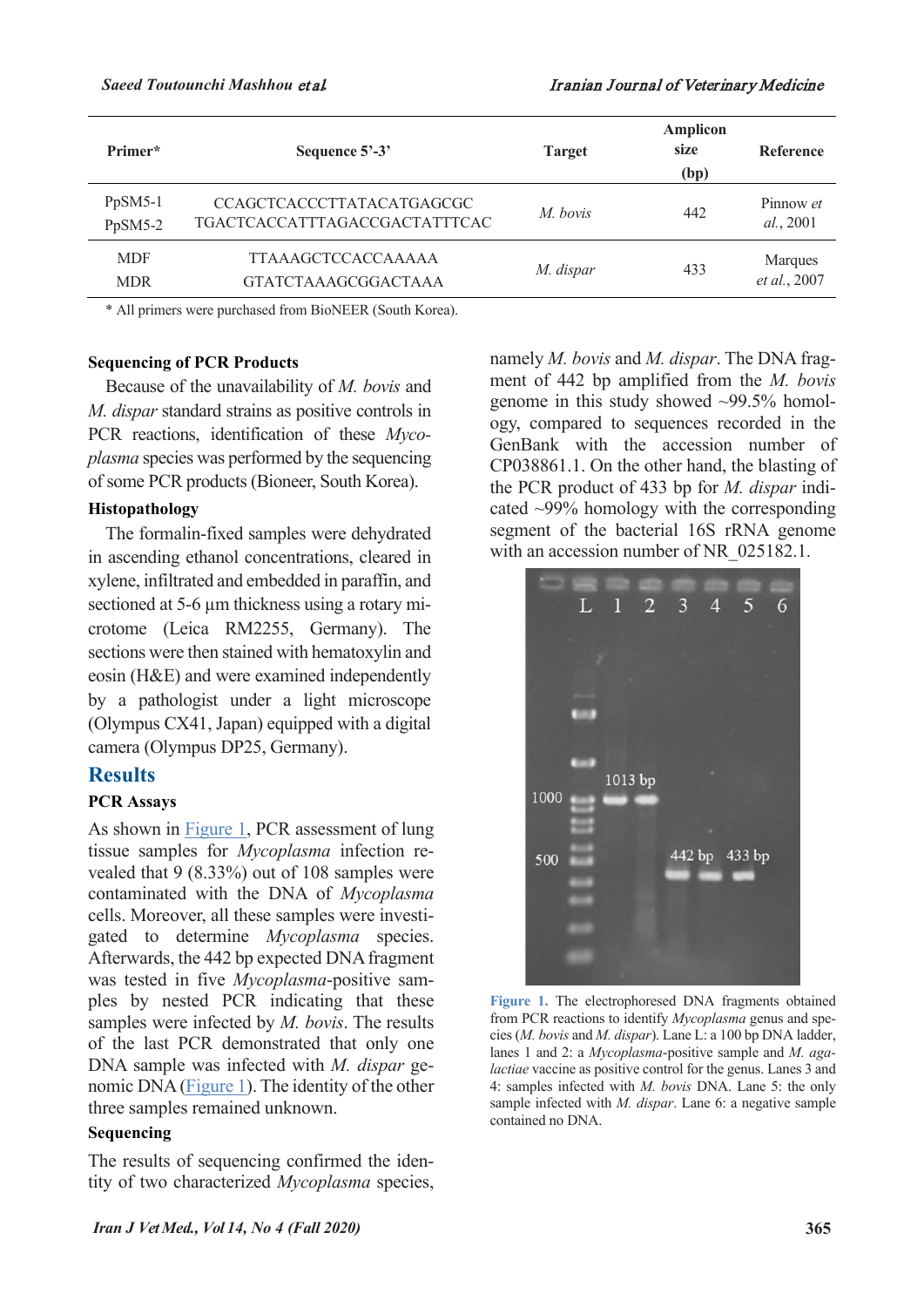| Primer*                  | Sequence 5'-3'                                                    | <b>Target</b> | <b>Amplicon</b><br>size<br>(bp) | <b>Reference</b>        |
|--------------------------|-------------------------------------------------------------------|---------------|---------------------------------|-------------------------|
| $PpSM5-1$<br>PpSM5-2     | <b>CCAGCTCACCCTTATACATGAGCGC</b><br>TGACTCACCATTTAGACCGACTATTTCAC | M. bovis      | 442                             | Pinnow et<br>al., 2001  |
| <b>MDF</b><br><b>MDR</b> | <b>TTAAAGCTCCACCAAAAA</b><br><b>GTATCTAAAGCGGACTAAA</b>           | M. dispar     | 433                             | Marques<br>et al., 2007 |

\* All primers were purchased from BioNEER (South Korea).

#### **Sequencing of PCR Products**

Because of the unavailability of *M. bovis* and *M. dispar* standard strains as positive controls in PCR reactions, identification of these *Mycoplasma* species was performed by the sequencing of some PCR products (Bioneer, South Korea).

#### **Histopathology**

The formalin-fixed samples were dehydrated in ascending ethanol concentrations, cleared in xylene, infiltrated and embedded in paraffin, and sectioned at 5-6  $\mu$ m thickness using a rotary microtome (Leica RM2255, Germany). The sections were then stained with hematoxylin and eosin (H&E) and were examined independently by a pathologist under a light microscope (Olympus CX41, Japan) equipped with a digital camera (Olympus DP25, Germany).

## **Results**

#### **PCR Assays**

As shown in [Figure 1,](#page-3-0) PCR assessment of lung tissue samples for *Mycoplasma* infection revealed that 9 (8.33%) out of 108 samples were contaminated with the DNA of *Mycoplasma* cells. Moreover, all these samples were investigated to determine *Mycoplasma* species. Afterwards, the 442 bp expected DNA fragment was tested in five *Mycoplasma*-positive samples by nested PCR indicating that these samples were infected by *M. bovis*. The results of the last PCR demonstrated that only one DNA sample was infected with *M. dispar* genomic DNA [\(Figure 1\)](#page-3-0). The identity of the other three samples remained unknown.

#### **Sequencing**

The results of sequencing confirmed the identity of two characterized *Mycoplasma* species,

namely *M. bovis* and *M. dispar*. The DNA fragment of 442 bp amplified from the *M. bovis* genome in this study showed ~99.5% homology, compared to sequences recorded in the GenBank with the accession number of CP038861.1. On the other hand, the blasting of the PCR product of 433 bp for *M. dispar* indicated ~99% homology with the corresponding segment of the bacterial 16S rRNA genome with an accession number of NR\_025182.1.



<span id="page-3-0"></span>**Figure 1.** The electrophoresed DNA fragments obtained from PCR reactions to identify *Mycoplasma* genus and species (*M. bovis* and *M. dispar*). Lane L: a 100 bp DNA ladder, lanes 1 and 2: a *Mycoplasma*-positive sample and *M. agalactiae* vaccine as positive control for the genus. Lanes 3 and 4: samples infected with *M. bovis* DNA. Lane 5: the only sample infected with *M. dispar*. Lane 6: a negative sample contained no DNA.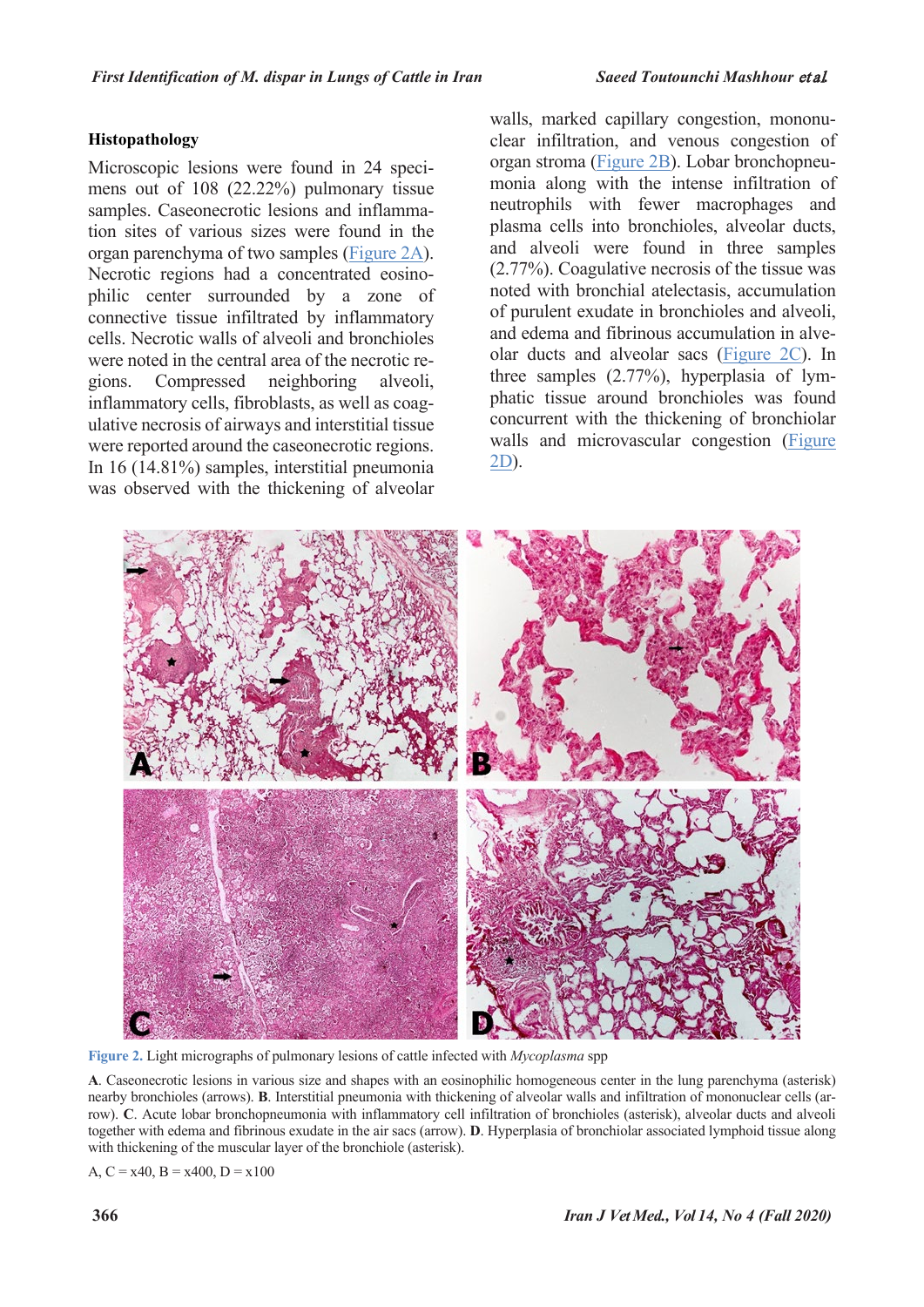## **Histopathology**

Microscopic lesions were found in 24 specimens out of 108 (22.22%) pulmonary tissue samples. Caseonecrotic lesions and inflammation sites of various sizes were found in the organ parenchyma of two samples [\(Figure 2A\)](#page-4-0). Necrotic regions had a concentrated eosinophilic center surrounded by a zone of connective tissue infiltrated by inflammatory cells. Necrotic walls of alveoli and bronchioles were noted in the central area of the necrotic regions. Compressed neighboring alveoli, inflammatory cells, fibroblasts, as well as coagulative necrosis of airways and interstitial tissue were reported around the caseonecrotic regions. In 16 (14.81%) samples, interstitial pneumonia was observed with the thickening of alveolar

walls, marked capillary congestion, mononuclear infiltration, and venous congestion of organ stroma [\(Figure 2B\)](#page-4-0). Lobar bronchopneumonia along with the intense infiltration of neutrophils with fewer macrophages and plasma cells into bronchioles, alveolar ducts, and alveoli were found in three samples (2.77%). Coagulative necrosis of the tissue was noted with bronchial atelectasis, accumulation of purulent exudate in bronchioles and alveoli, and edema and fibrinous accumulation in alveolar ducts and alveolar sacs [\(Figure 2C\)](#page-4-0). In three samples (2.77%), hyperplasia of lymphatic tissue around bronchioles was found concurrent with the thickening of bronchiolar walls and microvascular congestion (Figure [2D\)](#page-4-0).



<span id="page-4-0"></span>**Figure 2.** Light micrographs of pulmonary lesions of cattle infected with *Mycoplasma* spp

**A**. Caseonecrotic lesions in various size and shapes with an eosinophilic homogeneous center in the lung parenchyma (asterisk) nearby bronchioles (arrows). **B**. Interstitial pneumonia with thickening of alveolar walls and infiltration of mononuclear cells (arrow). **C**. Acute lobar bronchopneumonia with inflammatory cell infiltration of bronchioles (asterisk), alveolar ducts and alveoli together with edema and fibrinous exudate in the air sacs (arrow). **D**. Hyperplasia of bronchiolar associated lymphoid tissue along with thickening of the muscular layer of the bronchiole (asterisk).

A,  $C = x40$ ,  $B = x400$ ,  $D = x100$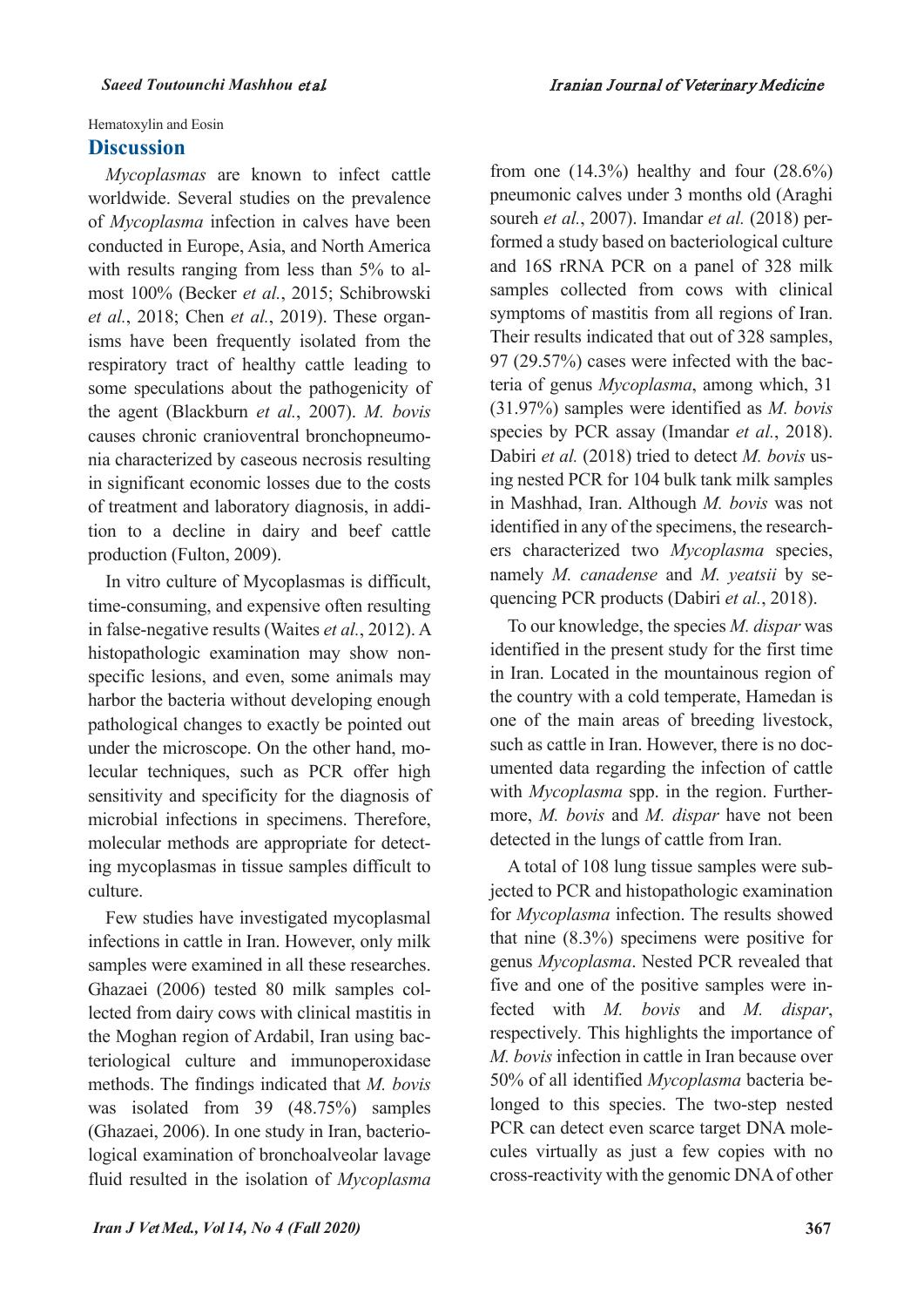Hematoxylin and Eosin

## **Discussion**

*Mycoplasmas* are known to infect cattle worldwide. Several studies on the prevalence of *Mycoplasma* infection in calves have been conducted in Europe, Asia, and North America with results ranging from less than 5% to almost 100% (Becker *et al.*, 2015; Schibrowski *et al.*, 2018; Chen *et al.*, 2019). These organisms have been frequently isolated from the respiratory tract of healthy cattle leading to some speculations about the pathogenicity of the agent (Blackburn *et al.*, 2007). *M. bovis* causes chronic cranioventral bronchopneumonia characterized by caseous necrosis resulting in significant economic losses due to the costs of treatment and laboratory diagnosis, in addition to a decline in dairy and beef cattle production (Fulton, 2009).

In vitro culture of Mycoplasmas is difficult, time-consuming, and expensive often resulting in false-negative results (Waites *et al.*, 2012). A histopathologic examination may show nonspecific lesions, and even, some animals may harbor the bacteria without developing enough pathological changes to exactly be pointed out under the microscope. On the other hand, molecular techniques, such as PCR offer high sensitivity and specificity for the diagnosis of microbial infections in specimens. Therefore, molecular methods are appropriate for detecting mycoplasmas in tissue samples difficult to culture.

Few studies have investigated mycoplasmal infections in cattle in Iran. However, only milk samples were examined in all these researches. Ghazaei (2006) tested 80 milk samples collected from dairy cows with clinical mastitis in the Moghan region of Ardabil, Iran using bacteriological culture and immunoperoxidase methods. The findings indicated that *M. bovis* was isolated from 39 (48.75%) samples (Ghazaei, 2006). In one study in Iran, bacteriological examination of bronchoalveolar lavage fluid resulted in the isolation of *Mycoplasma* from one  $(14.3\%)$  healthy and four  $(28.6\%)$ pneumonic calves under 3 months old (Araghi soureh *et al.*, 2007). Imandar *et al.* (2018) performed a study based on bacteriological culture and 16S rRNA PCR on a panel of 328 milk samples collected from cows with clinical symptoms of mastitis from all regions of Iran. Their results indicated that out of 328 samples, 97 (29.57%) cases were infected with the bacteria of genus *Mycoplasma*, among which, 31 (31.97%) samples were identified as *M. bovis* species by PCR assay (Imandar *et al.*, 2018). Dabiri *et al.* (2018) tried to detect *M. bovis* using nested PCR for 104 bulk tank milk samples in Mashhad, Iran. Although *M. bovis* was not identified in any of the specimens, the researchers characterized two *Mycoplasma* species, namely *M. canadense* and *M. yeatsii* by sequencing PCR products (Dabiri *et al.*, 2018).

To our knowledge, the species *M. dispar* was identified in the present study for the first time in Iran. Located in the mountainous region of the country with a cold temperate, Hamedan is one of the main areas of breeding livestock, such as cattle in Iran. However, there is no documented data regarding the infection of cattle with *Mycoplasma* spp. in the region. Furthermore, *M. bovis* and *M. dispar* have not been detected in the lungs of cattle from Iran.

A total of 108 lung tissue samples were subjected to PCR and histopathologic examination for *Mycoplasma* infection. The results showed that nine (8.3%) specimens were positive for genus *Mycoplasma*. Nested PCR revealed that five and one of the positive samples were infected with *M. bovis* and *M. dispar*, respectively*.* This highlights the importance of *M. bovis* infection in cattle in Iran because over 50% of all identified *Mycoplasma* bacteria belonged to this species. The two-step nested PCR can detect even scarce target DNA molecules virtually as just a few copies with no cross-reactivity with the genomic DNA of other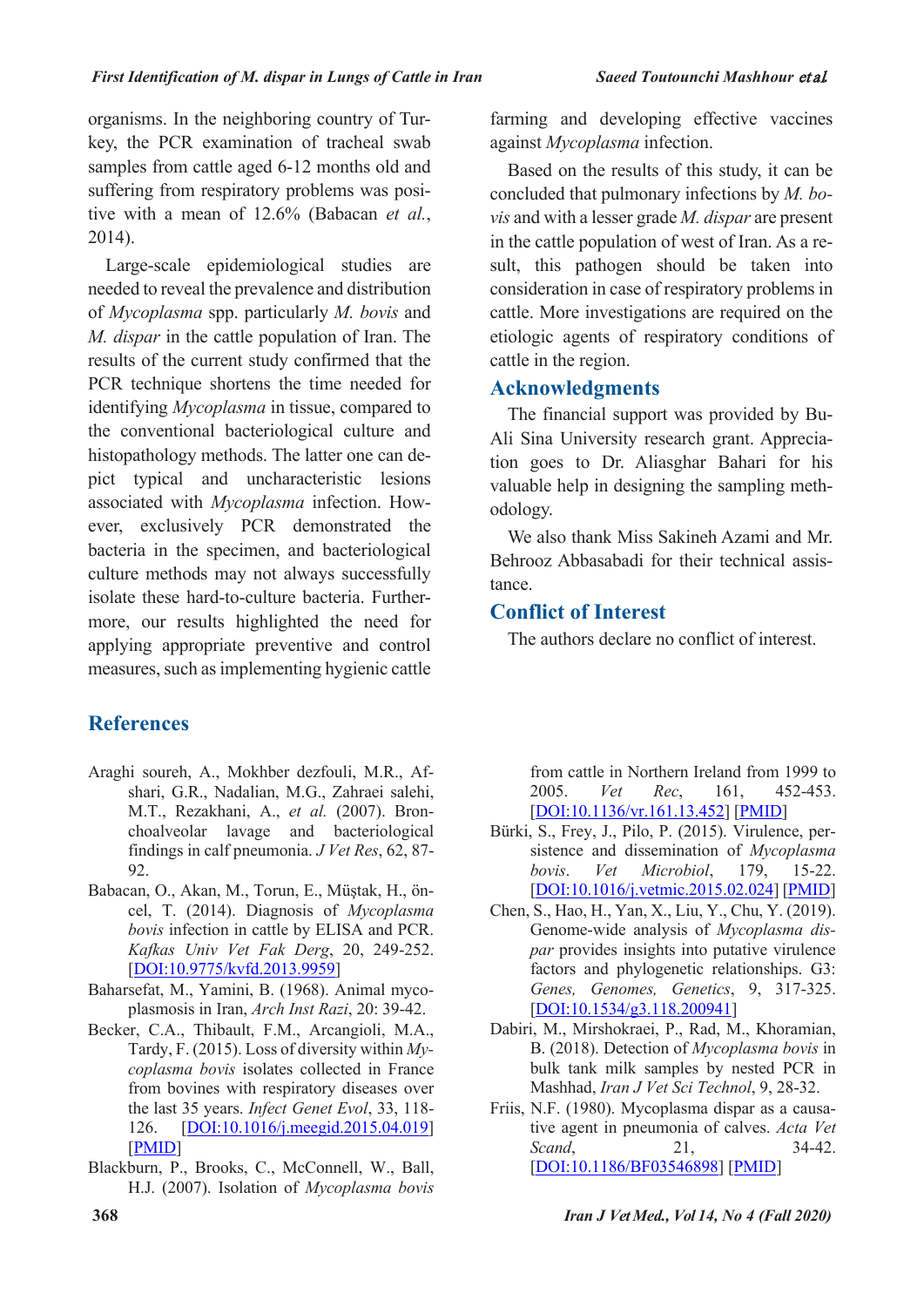organisms. In the neighboring country of Turkey, the PCR examination of tracheal swab samples from cattle aged 6-12 months old and suffering from respiratory problems was positive with a mean of 12.6% (Babacan *et al.*, 2014).

Large-scale epidemiological studies are needed to reveal the prevalence and distribution of *Mycoplasma* spp. particularly *M. bovis* and *M. dispar* in the cattle population of Iran. The results of the current study confirmed that the PCR technique shortens the time needed for identifying *Mycoplasma* in tissue, compared to the conventional bacteriological culture and histopathology methods. The latter one can depict typical and uncharacteristic lesions associated with *Mycoplasma* infection. However, exclusively PCR demonstrated the bacteria in the specimen, and bacteriological culture methods may not always successfully isolate these hard-to-culture bacteria. Furthermore, our results highlighted the need for applying appropriate preventive and control measures, such as implementing hygienic cattle

# **References**

- Araghi soureh, A., Mokhber dezfouli, M.R., Afshari, G.R., Nadalian, M.G., Zahraei salehi, M.T., Rezakhani, A., *et al.* (2007). Bronchoalveolar lavage and bacteriological findings in calf pneumonia. *J Vet Res*, 62, 87- 92.
- Babacan, O., Akan, M., Torun, E., Müştak, H., öncel, T. (2014). Diagnosis of *Mycoplasma bovis* infection in cattle by ELISA and PCR. *Kafkas Univ Vet Fak Derg*, 20, 249-252. [DOI:10.9775/kvfd.2013.9959]
- Baharsefat, M., Yamini, B. (1968). Animal mycoplasmosis in Iran, *Arch Inst Razi*, 20: 39-42.
- Becker, C.A., Thibault, F.M., Arcangioli, M.A., Tardy, F. (2015). Loss of diversity within *Mycoplasma bovis* isolates collected in France from bovines with respiratory diseases over the last 35 years. *Infect Genet Evol*, 33, 118- 126. [DOI:10.1016/j.meegid.2015.04.019] [PMID]
- Blackburn, P., Brooks, C., McConnell, W., Ball, H.J. (2007). Isolation of *Mycoplasma bovis*

farming and developing effective vaccines against *Mycoplasma* infection.

Based on the results of this study, it can be concluded that pulmonary infections by *M. bovis* and with a lesser grade *M. dispar* are present in the cattle population of west of Iran. As a result, this pathogen should be taken into consideration in case of respiratory problems in cattle. More investigations are required on the etiologic agents of respiratory conditions of cattle in the region.

# **Acknowledgments**

The financial support was provided by Bu-Ali Sina University research grant. Appreciation goes to Dr. Aliasghar Bahari for his valuable help in designing the sampling methodology.

We also thank Miss Sakineh Azami and Mr. Behrooz Abbasabadi for their technical assistance.

# **Conflict of Interest**

The authors declare no conflict of interest.

from cattle in Northern Ireland from 1999 to 2005. *Vet Rec*, 161, 452-453. [DOI:10.1136/vr.161.13.452] [PMID]

- Bürki, S., Frey, J., Pilo, P. (2015). Virulence, persistence and dissemination of *Mycoplasma bovis*. *Vet Microbiol*, 179, 15-22. [DOI:10.1016/j.vetmic.2015.02.024] [PMID]
- Chen, S., Hao, H., Yan, X., Liu, Y., Chu, Y. (2019). Genome-wide analysis of *Mycoplasma dispar* provides insights into putative virulence factors and phylogenetic relationships. G3: *Genes, Genomes, Genetics*, 9, 317-325. [DOI:10.1534/g3.118.200941]
- Dabiri, M., Mirshokraei, P., Rad, M., Khoramian, B. (2018). Detection of *Mycoplasma bovis* in bulk tank milk samples by nested PCR in Mashhad, *Iran J Vet Sci Technol*, 9, 28-32.
- Friis, N.F. (1980). Mycoplasma dispar as a causative agent in pneumonia of calves. *Acta Vet Scand*, 21, 34-42. [DOI:10.1186/BF03546898] [PMID]

**368** *Iran J Vet Med., Vol 14, No 4 (Fall 2020)*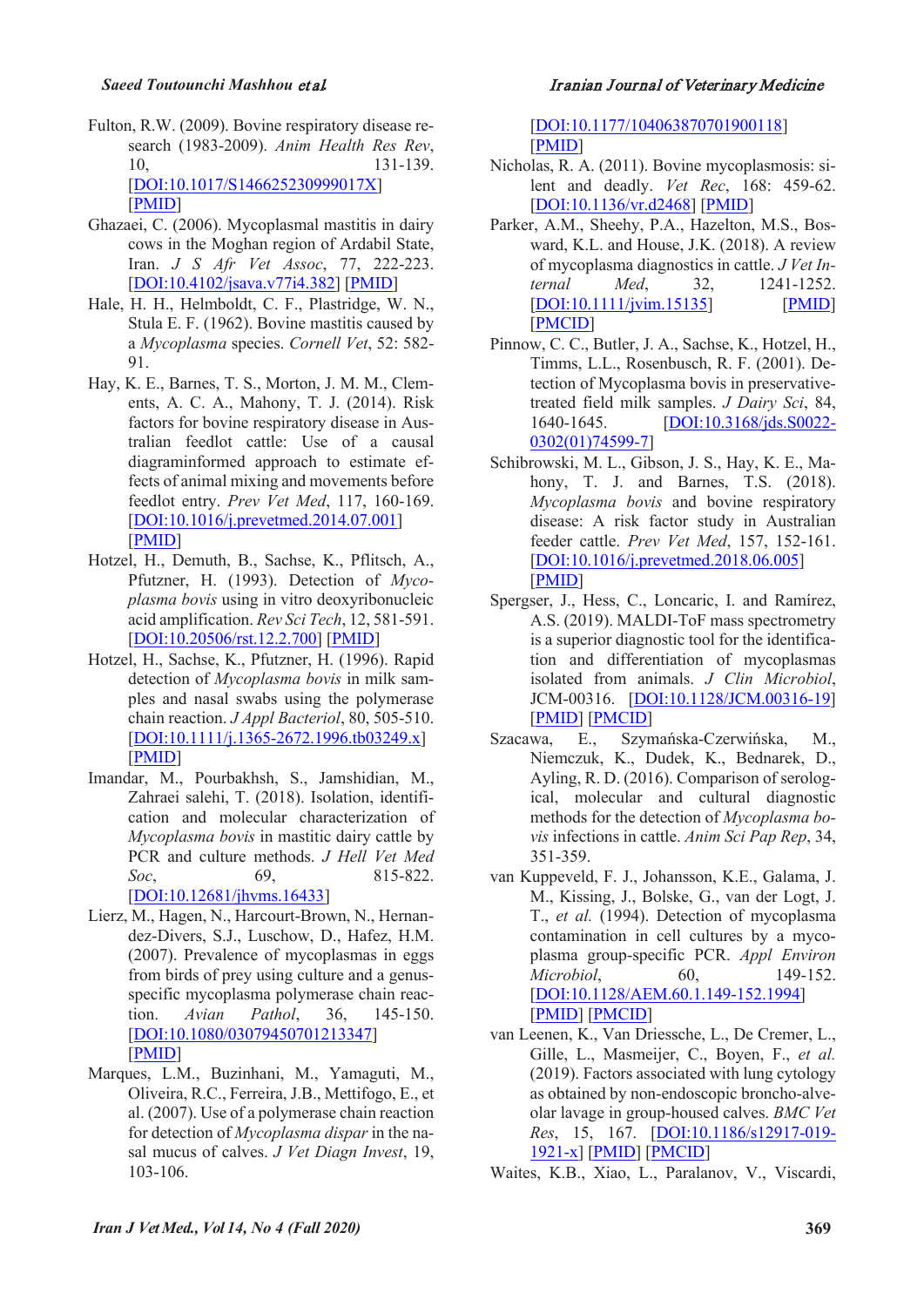- Fulton, R.W. (2009). Bovine respiratory disease research (1983-2009). *Anim Health Res Rev*, 10, 131-139. [DOI:10.1017/S146625230999017X] [PMID]
- Ghazaei, C. (2006). Mycoplasmal mastitis in dairy cows in the Moghan region of Ardabil State, Iran. *J S Afr Vet Assoc*, 77, 222-223. [DOI:10.4102/jsava.v77i4.382] [PMID]
- Hale, H. H., Helmboldt, C. F., Plastridge, W. N., Stula E. F. (1962). Bovine mastitis caused by a *Mycoplasma* species. *Cornell Vet*, 52: 582- 91.
- Hay, K. E., Barnes, T. S., Morton, J. M. M., Clements, A. C. A., Mahony, T. J. (2014). Risk factors for bovine respiratory disease in Australian feedlot cattle: Use of a causal diagraminformed approach to estimate effects of animal mixing and movements before feedlot entry. *Prev Vet Med*, 117, 160-169. [DOI:10.1016/j.prevetmed.2014.07.001] [PMID]
- Hotzel, H., Demuth, B., Sachse, K., Pflitsch, A., Pfutzner, H. (1993). Detection of *Mycoplasma bovis* using in vitro deoxyribonucleic acid amplification. *Rev Sci Tech*, 12, 581-591. [DOI:10.20506/rst.12.2.700] [PMID]
- Hotzel, H., Sachse, K., Pfutzner, H. (1996). Rapid detection of *Mycoplasma bovis* in milk samples and nasal swabs using the polymerase chain reaction. *J Appl Bacteriol*, 80, 505-510. [DOI:10.1111/j.1365-2672.1996.tb03249.x] [PMID]
- Imandar, M., Pourbakhsh, S., Jamshidian, M., Zahraei salehi, T. (2018). Isolation, identification and molecular characterization of *Mycoplasma bovis* in mastitic dairy cattle by PCR and culture methods. *J Hell Vet Med Soc*, 69, 815-822. [DOI:10.12681/jhvms.16433]
- Lierz, M., Hagen, N., Harcourt-Brown, N., Hernandez-Divers, S.J., Luschow, D., Hafez, H.M. (2007). Prevalence of mycoplasmas in eggs from birds of prey using culture and a genusspecific mycoplasma polymerase chain reaction. *Avian Pathol*, 36, 145-150. [DOI:10.1080/03079450701213347] [PMID]
- Marques, L.M., Buzinhani, M., Yamaguti, M., Oliveira, R.C., Ferreira, J.B., Mettifogo, E., et al. (2007). Use of a polymerase chain reaction for detection of *Mycoplasma dispar* in the nasal mucus of calves. *J Vet Diagn Invest*, 19, 103-106.

#### *Saeed Toutounchi Mashhou* et al*.* Iranian Journal of Veterinary Medicine

[DOI:10.1177/104063870701900118] [PMID]

- Nicholas, R. A. (2011). Bovine mycoplasmosis: silent and deadly. *Vet Rec*, 168: 459-62. [DOI:10.1136/vr.d2468] [PMID]
- Parker, A.M., Sheehy, P.A., Hazelton, M.S., Bosward, K.L. and House, J.K. (2018). A review of mycoplasma diagnostics in cattle. *J Vet Internal Med*, 32, 1241-1252. [DOI:10.1111/jvim.15135] [PMID] [PMCID]
- Pinnow, C. C., Butler, J. A., Sachse, K., Hotzel, H., Timms, L.L., Rosenbusch, R. F. (2001). Detection of Mycoplasma bovis in preservativetreated field milk samples. *J Dairy Sci*, 84, 1640-1645. [DOI:10.3168/jds.S0022- 0302(01)74599-7]
- Schibrowski, M. L., Gibson, J. S., Hay, K. E., Mahony, T. J. and Barnes, T.S. (2018). *Mycoplasma bovis* and bovine respiratory disease: A risk factor study in Australian feeder cattle. *Prev Vet Med*, 157, 152-161. [DOI:10.1016/j.prevetmed.2018.06.005] [PMID]
- Spergser, J., Hess, C., Loncaric, I. and Ramírez, A.S. (2019). MALDI-ToF mass spectrometry is a superior diagnostic tool for the identification and differentiation of mycoplasmas isolated from animals. *J Clin Microbiol*, JCM-00316. [DOI:10.1128/JCM.00316-19] [PMID] [PMCID]
- Szacawa, E., Szymańska-Czerwińska, M., Niemczuk, K., Dudek, K., Bednarek, D., Ayling, R. D. (2016). Comparison of serological, molecular and cultural diagnostic methods for the detection of *Mycoplasma bovis* infections in cattle. *Anim Sci Pap Rep*, 34, 351-359.
- van Kuppeveld, F. J., Johansson, K.E., Galama, J. M., Kissing, J., Bolske, G., van der Logt, J. T., *et al.* (1994). Detection of mycoplasma contamination in cell cultures by a mycoplasma group-specific PCR. *Appl Environ Microbiol*, 60, 149-152. [DOI:10.1128/AEM.60.1.149-152.1994] [PMID] [PMCID]
- van Leenen, K., Van Driessche, L., De Cremer, L., Gille, L., Masmeijer, C., Boyen, F., *et al.* (2019). Factors associated with lung cytology as obtained by non-endoscopic broncho-alveolar lavage in group-housed calves. *BMC Vet Res*, 15, 167. [DOI:10.1186/s12917-019- 1921-x] [PMID] [PMCID]

Waites, K.B., Xiao, L., Paralanov, V., Viscardi,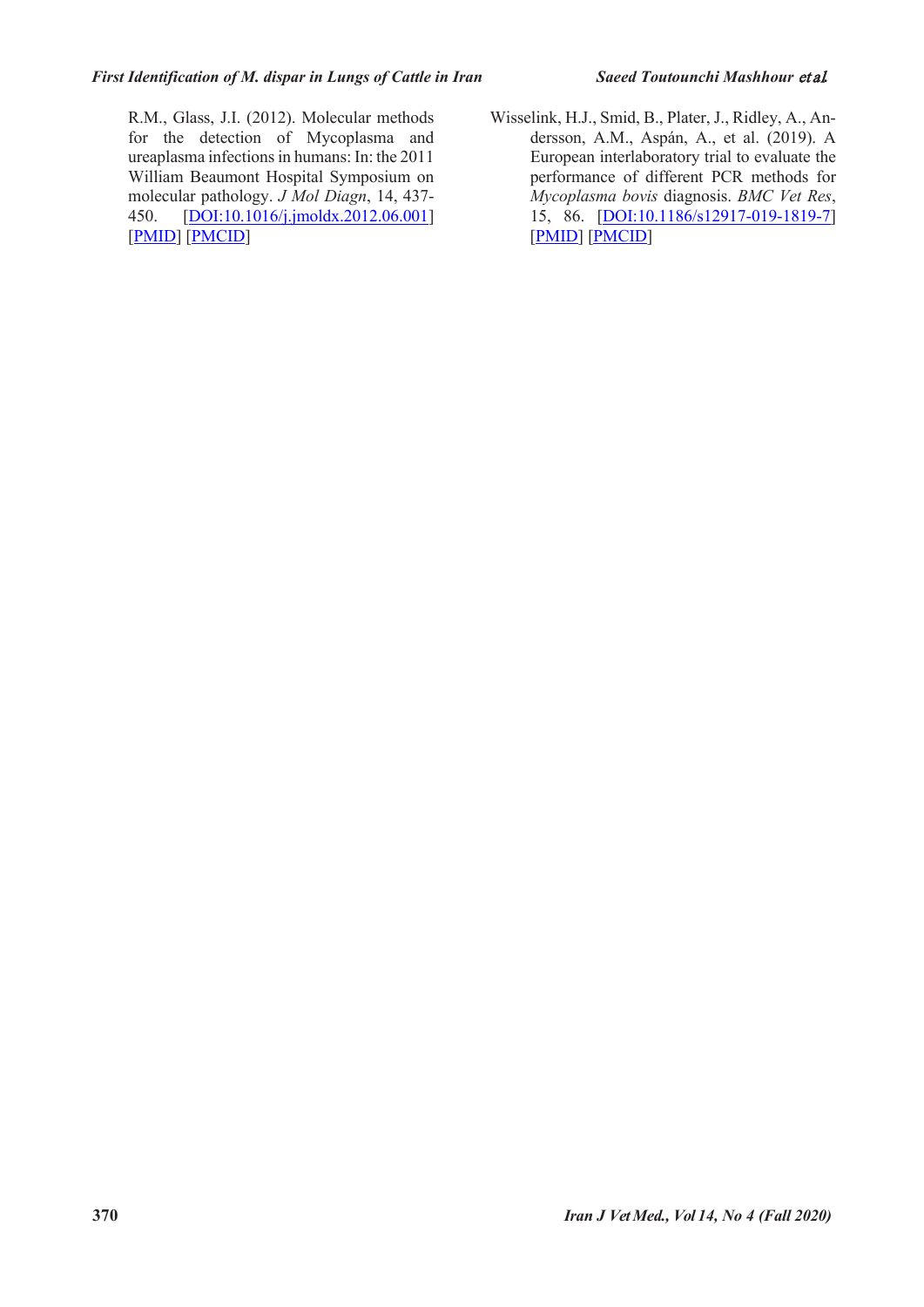R.M., Glass, J.I. (2012). Molecular methods for the detection of Mycoplasma and ureaplasma infections in humans: In: the 2011 William Beaumont Hospital Symposium on molecular pathology. *J Mol Diagn*, 14, 437- 450. [DOI:10.1016/j.jmoldx.2012.06.001] [PMID] [PMCID]

Wisselink, H.J., Smid, B., Plater, J., Ridley, A., Andersson, A.M., Aspán, A., et al. (2019). A European interlaboratory trial to evaluate the performance of different PCR methods for *Mycoplasma bovis* diagnosis. *BMC Vet Res*, 15, 86. [DOI:10.1186/s12917-019-1819-7] [PMID] [PMCID]